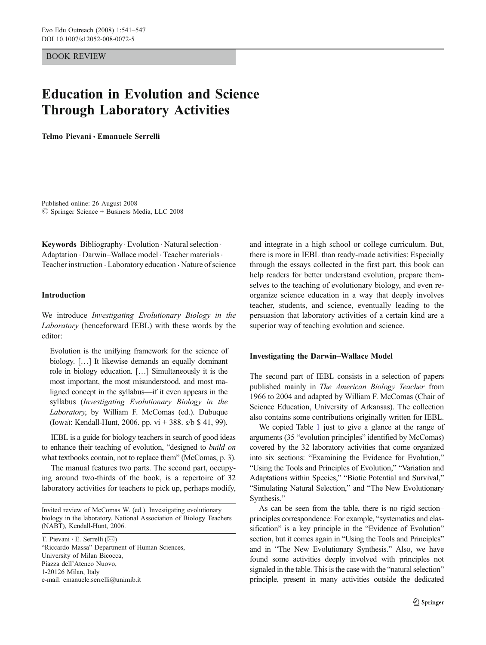BOOK REVIEW

# Education in Evolution and Science Through Laboratory Activities

Telmo Pievani *&* Emanuele Serrelli

Published online: 26 August 2008  $\circledcirc$  Springer Science + Business Media, LLC 2008

Keywords Bibliography . Evolution . Natural selection . Adaptation . Darwin–Wallace model . Teacher materials. Teacher instruction . Laboratory education . Nature of science

## Introduction

We introduce Investigating Evolutionary Biology in the Laboratory (henceforward IEBL) with these words by the editor:

Evolution is the unifying framework for the science of biology. […] It likewise demands an equally dominant role in biology education. […] Simultaneously it is the most important, the most misunderstood, and most maligned concept in the syllabus—if it even appears in the syllabus (Investigating Evolutionary Biology in the Laboratory, by William F. McComas (ed.). Dubuque (Iowa): Kendall-Hunt, 2006. pp. vi + 388. s/b \$ 41, 99).

IEBL is a guide for biology teachers in search of good ideas to enhance their teaching of evolution, "designed to build on what textbooks contain, not to replace them" (McComas, p. 3).

The manual features two parts. The second part, occupying around two-thirds of the book, is a repertoire of 32 laboratory activities for teachers to pick up, perhaps modify,

Invited review of McComas W. (ed.). Investigating evolutionary biology in the laboratory. National Association of Biology Teachers (NABT), Kendall-Hunt, 2006.

T. Pievani *:* E. Serrelli (*\**) "Riccardo Massa" Department of Human Sciences, University of Milan Bicocca, Piazza dell'Ateneo Nuovo, 1-20126 Milan, Italy e-mail: emanuele.serrelli@unimib.it

and integrate in a high school or college curriculum. But, there is more in IEBL than ready-made activities: Especially through the essays collected in the first part, this book can help readers for better understand evolution, prepare themselves to the teaching of evolutionary biology, and even reorganize science education in a way that deeply involves teacher, students, and science, eventually leading to the persuasion that laboratory activities of a certain kind are a superior way of teaching evolution and science.

#### Investigating the Darwin*–*Wallace Model

The second part of IEBL consists in a selection of papers published mainly in The American Biology Teacher from 1966 to 2004 and adapted by William F. McComas (Chair of Science Education, University of Arkansas). The collection also contains some contributions originally written for IEBL.

We copied Table [1](#page-1-0) just to give a glance at the range of arguments (35 "evolution principles" identified by McComas) covered by the 32 laboratory activities that come organized into six sections: "Examining the Evidence for Evolution," "Using the Tools and Principles of Evolution," "Variation and Adaptations within Species," "Biotic Potential and Survival," "Simulating Natural Selection," and "The New Evolutionary Synthesis."

As can be seen from the table, there is no rigid section– principles correspondence: For example, "systematics and classification" is a key principle in the "Evidence of Evolution" section, but it comes again in "Using the Tools and Principles" and in "The New Evolutionary Synthesis." Also, we have found some activities deeply involved with principles not signaled in the table. This is the case with the "natural selection" principle, present in many activities outside the dedicated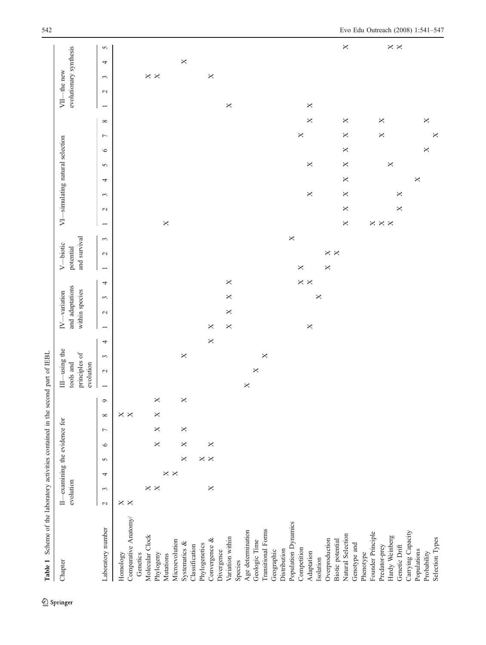<span id="page-1-0"></span>

| Scheme of the laboratory activities contained in the second part of IEBL<br>Chapter | ∃                 | evolution       |                   |               | -examining the evidence for |                |                 |              |                | III-using the<br>principles of<br>evolution<br>tools and |            |          |                | and adaptations<br>within species<br>IV-variation |                            |                | and survival<br>$V$ -biotic<br>potential |              |                            |                       | VI-simulating natural selection |          |          |         |                |                       |                       | evolutionary synthesis<br>$VII$ —the new |                   |              |                       |
|-------------------------------------------------------------------------------------|-------------------|-----------------|-------------------|---------------|-----------------------------|----------------|-----------------|--------------|----------------|----------------------------------------------------------|------------|----------|----------------|---------------------------------------------------|----------------------------|----------------|------------------------------------------|--------------|----------------------------|-----------------------|---------------------------------|----------|----------|---------|----------------|-----------------------|-----------------------|------------------------------------------|-------------------|--------------|-----------------------|
| Laboratory number                                                                   | $\sim$            | $\epsilon$      | 4                 | $\sim$        | $\circ$                     | $\overline{ }$ | $\infty$        | $\circ$      | $\overline{ }$ | $\sim$                                                   | $\epsilon$ | 4        | $\overline{ }$ | $\mathbb{C}$                                      | 4<br>$\epsilon$            | $\overline{ }$ | $\mathbb{C}$                             | $\epsilon$   | $\overline{\phantom{0}}$   | $\sim$                | $\sim$                          | 4        | $\sim$   | $\circ$ | $\overline{ }$ | $\infty$              | $\overline{ }$        | $\mathbb{C}$                             | $\epsilon$        | 4            | $\sim$                |
| Homology                                                                            |                   |                 |                   |               |                             |                |                 |              |                |                                                          |            |          |                |                                                   |                            |                |                                          |              |                            |                       |                                 |          |          |         |                |                       |                       |                                          |                   |              |                       |
| Comparative Anatomy/                                                                | $\times$ $\times$ |                 |                   |               |                             |                | $\times \times$ |              |                |                                                          |            |          |                |                                                   |                            |                |                                          |              |                            |                       |                                 |          |          |         |                |                       |                       |                                          |                   |              |                       |
| Molecular Clock<br>Genetics                                                         |                   |                 |                   |               |                             |                |                 |              |                |                                                          |            |          |                |                                                   |                            |                |                                          |              |                            |                       |                                 |          |          |         |                |                       |                       |                                          |                   |              |                       |
| Phylogeny                                                                           |                   | $\times \times$ |                   |               | ×                           | ×              | ×               | $\mathsf{X}$ |                |                                                          |            |          |                |                                                   |                            |                |                                          |              |                            |                       |                                 |          |          |         |                |                       |                       |                                          | $\times$ $\times$ |              |                       |
| Mutations                                                                           |                   |                 | $\times$ $\times$ |               |                             |                |                 |              |                |                                                          |            |          |                |                                                   |                            |                |                                          |              | $\boldsymbol{\times}$      |                       |                                 |          |          |         |                |                       |                       |                                          |                   |              |                       |
| Microevolution                                                                      |                   |                 |                   |               |                             |                |                 |              |                |                                                          |            |          |                |                                                   |                            |                |                                          |              |                            |                       |                                 |          |          |         |                |                       |                       |                                          |                   |              |                       |
| Systematics &                                                                       |                   |                 |                   | ×             | ×                           | $\times$       |                 | $\mathsf{X}$ |                |                                                          | $\times$   |          |                |                                                   |                            |                |                                          |              |                            |                       |                                 |          |          |         |                |                       |                       |                                          |                   | $\mathsf{X}$ |                       |
| Classification                                                                      |                   |                 |                   |               |                             |                |                 |              |                |                                                          |            |          |                |                                                   |                            |                |                                          |              |                            |                       |                                 |          |          |         |                |                       |                       |                                          |                   |              |                       |
| Convergence &<br>Phylogenetics                                                      |                   | ×               |                   | $\times$<br>× | ×                           |                |                 |              |                |                                                          |            | $\times$ | $\times$       |                                                   |                            |                |                                          |              |                            |                       |                                 |          |          |         |                |                       |                       |                                          | ×                 |              |                       |
|                                                                                     |                   |                 |                   |               |                             |                |                 |              |                |                                                          |            |          |                |                                                   |                            |                |                                          |              |                            |                       |                                 |          |          |         |                |                       |                       |                                          |                   |              |                       |
| Variation within<br>Divergence                                                      |                   |                 |                   |               |                             |                |                 |              |                |                                                          |            |          | ×              | X                                                 | $\boldsymbol{\times}$<br>X |                |                                          |              |                            |                       |                                 |          |          |         |                |                       | $\boldsymbol{\times}$ |                                          |                   |              |                       |
| Species                                                                             |                   |                 |                   |               |                             |                |                 |              |                |                                                          |            |          |                |                                                   |                            |                |                                          |              |                            |                       |                                 |          |          |         |                |                       |                       |                                          |                   |              |                       |
| Age determination                                                                   |                   |                 |                   |               |                             |                |                 |              | $\times$       |                                                          |            |          |                |                                                   |                            |                |                                          |              |                            |                       |                                 |          |          |         |                |                       |                       |                                          |                   |              |                       |
| Geologic Time                                                                       |                   |                 |                   |               |                             |                |                 |              |                | ×                                                        |            |          |                |                                                   |                            |                |                                          |              |                            |                       |                                 |          |          |         |                |                       |                       |                                          |                   |              |                       |
| Transitional Forms                                                                  |                   |                 |                   |               |                             |                |                 |              |                |                                                          | $\times$   |          |                |                                                   |                            |                |                                          |              |                            |                       |                                 |          |          |         |                |                       |                       |                                          |                   |              |                       |
| Geographic                                                                          |                   |                 |                   |               |                             |                |                 |              |                |                                                          |            |          |                |                                                   |                            |                |                                          |              |                            |                       |                                 |          |          |         |                |                       |                       |                                          |                   |              |                       |
| Distribution                                                                        |                   |                 |                   |               |                             |                |                 |              |                |                                                          |            |          |                |                                                   |                            |                |                                          |              |                            |                       |                                 |          |          |         |                |                       |                       |                                          |                   |              |                       |
| Population Dynamics                                                                 |                   |                 |                   |               |                             |                |                 |              |                |                                                          |            |          |                |                                                   |                            |                |                                          | $\mathsf{X}$ |                            |                       |                                 |          |          |         |                |                       |                       |                                          |                   |              |                       |
| Competition                                                                         |                   |                 |                   |               |                             |                |                 |              |                |                                                          |            |          |                |                                                   | $\times$ $\times$          | $\mathsf{X}$   |                                          |              |                            |                       |                                 |          |          |         | $\times$       |                       |                       |                                          |                   |              |                       |
| Adaptation                                                                          |                   |                 |                   |               |                             |                |                 |              |                |                                                          |            |          | ×              |                                                   |                            |                |                                          |              |                            |                       | ×                               |          | ×        |         |                | ×                     | ×                     |                                          |                   |              |                       |
| Isolation                                                                           |                   |                 |                   |               |                             |                |                 |              |                |                                                          |            |          |                |                                                   | X                          |                |                                          |              |                            |                       |                                 |          |          |         |                |                       |                       |                                          |                   |              |                       |
| Overproduction                                                                      |                   |                 |                   |               |                             |                |                 |              |                |                                                          |            |          |                |                                                   |                            | $\mathsf{X}$   | $\times$ $\times$                        |              |                            |                       |                                 |          |          |         |                |                       |                       |                                          |                   |              |                       |
| Biotic potential                                                                    |                   |                 |                   |               |                             |                |                 |              |                |                                                          |            |          |                |                                                   |                            |                |                                          |              |                            |                       |                                 |          |          |         |                |                       |                       |                                          |                   |              |                       |
| Natural Selection                                                                   |                   |                 |                   |               |                             |                |                 |              |                |                                                          |            |          |                |                                                   |                            |                |                                          |              | $\times$                   | $\times$              | $\times$                        | $\times$ | $\times$ | X       | $\times$       | $\boldsymbol{\times}$ |                       |                                          |                   |              | $\boldsymbol{\times}$ |
| Genotype and                                                                        |                   |                 |                   |               |                             |                |                 |              |                |                                                          |            |          |                |                                                   |                            |                |                                          |              |                            |                       |                                 |          |          |         |                |                       |                       |                                          |                   |              |                       |
| Phenotype                                                                           |                   |                 |                   |               |                             |                |                 |              |                |                                                          |            |          |                |                                                   |                            |                |                                          |              |                            |                       |                                 |          |          |         |                |                       |                       |                                          |                   |              |                       |
| Founder Principle                                                                   |                   |                 |                   |               |                             |                |                 |              |                |                                                          |            |          |                |                                                   |                            |                |                                          |              |                            |                       |                                 |          |          |         |                |                       |                       |                                          |                   |              |                       |
| Predator-prey                                                                       |                   |                 |                   |               |                             |                |                 |              |                |                                                          |            |          |                |                                                   |                            |                |                                          |              | $\times$ $\times$ $\times$ |                       |                                 |          |          |         | $\times$       | ×                     |                       |                                          |                   |              |                       |
| Hardy Weinberg                                                                      |                   |                 |                   |               |                             |                |                 |              |                |                                                          |            |          |                |                                                   |                            |                |                                          |              |                            |                       |                                 |          | ×        |         |                |                       |                       |                                          |                   |              | $\times$ $\times$     |
| Genetic Drift                                                                       |                   |                 |                   |               |                             |                |                 |              |                |                                                          |            |          |                |                                                   |                            |                |                                          |              |                            | $\boldsymbol{\times}$ | $\times$                        |          |          |         |                |                       |                       |                                          |                   |              |                       |
| Carrying Capacity                                                                   |                   |                 |                   |               |                             |                |                 |              |                |                                                          |            |          |                |                                                   |                            |                |                                          |              |                            |                       |                                 |          |          |         |                |                       |                       |                                          |                   |              |                       |
| Populations                                                                         |                   |                 |                   |               |                             |                |                 |              |                |                                                          |            |          |                |                                                   |                            |                |                                          |              |                            |                       |                                 | $\times$ |          |         |                |                       |                       |                                          |                   |              |                       |
| Probability                                                                         |                   |                 |                   |               |                             |                |                 |              |                |                                                          |            |          |                |                                                   |                            |                |                                          |              |                            |                       |                                 |          |          | X       |                | $\Join$               |                       |                                          |                   |              |                       |
| Selection Types                                                                     |                   |                 |                   |               |                             |                |                 |              |                |                                                          |            |          |                |                                                   |                            |                |                                          |              |                            |                       |                                 |          |          |         | X              |                       |                       |                                          |                   |              |                       |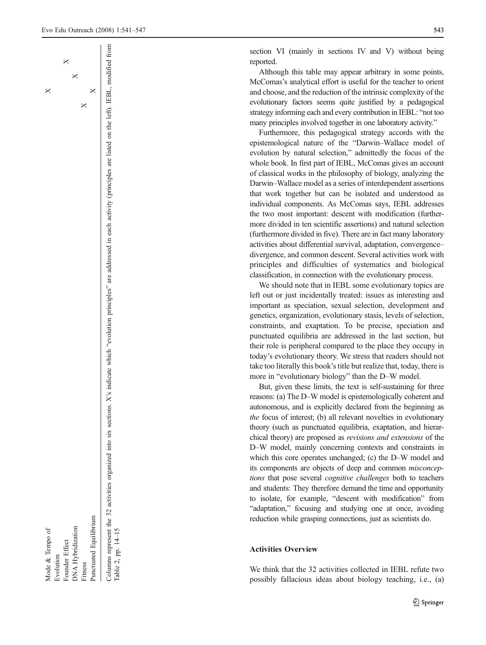$\times$ 

 $\times$ 

section VI (mainly in sections IV and V) without being reported.

Although this table may appear arbitrary in some points, McComas 's analytical effort is useful for the teacher to orient and choose, and the reduction of the intrinsic complexity of the evolutionary factors seems quite justified by a pedagogical strategy informing each and every contribution in IEBL: "not too many principles involved together in one laboratory activity. "

Furthermore, this pedagogical strategy accords with the epistemological nature of the "Darwin–Wallace model of evolution by natural selection, " admittedly the focus of the whole book. In first part of IEBL, McComas gives an account of classical works in the philosophy of biology, analyzing the Darwin–Wallace model as a series of interdependent assertions that work together but can be isolated and understood as individual components. As McComas says, IEBL addresses the two most important: descent with modification (furthermore divided in ten scientific assertions) and natural selection (furthermore divided in five). There are in fact many laboratory activities about differential survival, adaptation, convergence– divergence, and common descent. Several activities work with principles and difficulties of systematics and biological classification, in connection with the evolutionary process.

We should note that in IEBL some evolutionary topics are left out or just incidentally treated: issues as interesting and important as speciation, sexual selection, development and genetics, organization, evolutionary stasis, levels of selection, constraints, and exaptation. To be precise, speciation and punctuated equilibria are addressed in the last section, but their role is peripheral compared to the place they occupy in today 's evolutionary theory. We stress that readers should not take too literally this book 's title but realize that, today, there is more in "evolutionary biology " than the D –W model.

But, given these limits, the text is self-sustaining for three reasons: (a) The D –W model is epistemologically coherent and autonomous, and is explicitly declared from the beginning as the focus of interest; (b) all relevant novelties in evolutionary theory (such as punctuated equilibria, exaptation, and hierarchical theory) are proposed as revisions and extensions of the D–W model, mainly concerning contexts and constraints in which this core operates unchanged; (c) the D-W model and its components are objects of deep and common misconceptions that pose several cognitive challenges both to teachers and students: They therefore demand the time and opportunity to isolate, for example, "descent with modification " from "adaptation, " focusing and studying one at once, avoiding reduction while grasping connections, just as scientists do.

## Activities Overview

We think that the 32 activities collected in IEBL refute two possibly fallacious ideas about biology teaching, i.e., (a)

Founder Effect  $X$ Punctuated Equilibrium DNA Hybridization Mode & Tempo of Mode & Tempo of Founder Effect Evolution Evolution Fitness

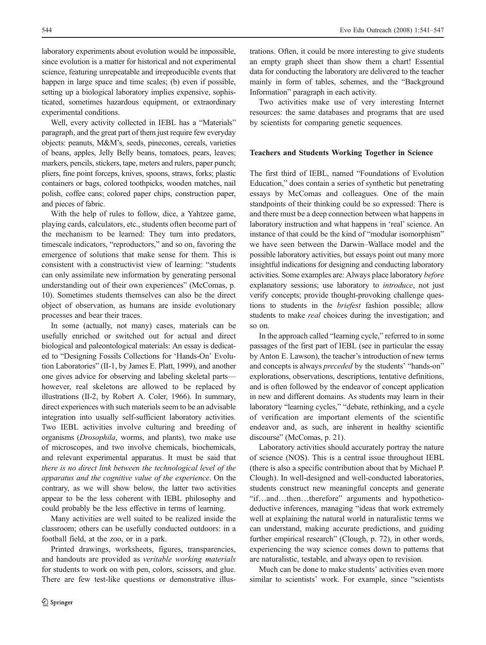laboratory experiments about evolution would be impossible, since evolution is a matter for historical and not experimental science, featuring unrepeatable and irreproducible events that happen in large space and time scales; (b) even if possible. setting up a biological laboratory implies expensive, sophisticated, sometimes hazardous equipment, or extraordinary experimental conditions.

Well, every activity collected in IEBL has a "Materials" paragraph, and the great part of them just require few everyday objects: peanuts, M&M's, seeds, pinecones, cereals, varieties of beans, apples, Jelly Belly beans, tomatoes, pears, leaves; markers, pencils, stickers, tape, meters and rulers, paper punch; pliers, fine point forceps, knives, spoons, straws, forks; plastic containers or bags, colored toothpicks, wooden matches, nail polish, coffee cans; colored paper chips, construction paper, and pieces of fabric.

With the help of rules to follow, dice, a Yahtzee game, playing cards, calculators, etc., students often become part of the mechanism to be learned: They turn into predators, timescale indicators, "reproductors," and so on, favoring the emergence of solutions that make sense for them. This is consistent with a constructivist view of learning: "students can only assimilate new information by generating personal understanding out of their own experiences" (McComas, p. 10). Sometimes students themselves can also be the direct object of observation, as humans are inside evolutionary processes and bear their traces.

In some (actually, not many) cases, materials can be usefully enriched or switched out for actual and direct biological and paleontological materials: An essay is dedicated to "Designing Fossils Collections for 'Hands-On' Evolution Laboratories" (II-1, by James E. Platt, 1999), and another one gives advice for observing and labeling skeletal parts however, real skeletons are allowed to be replaced by illustrations (II-2, by Robert A. Coler, 1966). In summary, direct experiences with such materials seem to be an advisable integration into usually self-sufficient laboratory activities. Two IEBL activities involve culturing and breeding of organisms (Drosophila, worms, and plants), two make use of microscopes, and two involve chemicals, biochemicals, and relevant experimental apparatus. It must be said that there is no direct link between the technological level of the apparatus and the cognitive value of the experience. On the contrary, as we will show below, the latter two activities appear to be the less coherent with IEBL philosophy and could probably be the less effective in terms of learning.

Many activities are well suited to be realized inside the classroom; others can be usefully conducted outdoors: in a football field, at the zoo, or in a park.

Printed drawings, worksheets, figures, transparencies, and handouts are provided as veritable working materials for students to work on with pen, colors, scissors, and glue. There are few test-like questions or demonstrative illus-

trations. Often, it could be more interesting to give students an empty graph sheet than show them a chart! Essential data for conducting the laboratory are delivered to the teacher mainly in form of tables, schemes, and the "Background Information" paragraph in each activity.

Two activities make use of very interesting Internet resources: the same databases and programs that are used by scientists for comparing genetic sequences.

# Teachers and Students Working Together in Science

The first third of IEBL, named "Foundations of Evolution Education," does contain a series of synthetic but penetrating essays by McComas and colleagues. One of the main standpoints of their thinking could be so expressed: There is and there must be a deep connection between what happens in laboratory instruction and what happens in 'real' science. An instance of that could be the kind of "modular isomorphism" we have seen between the Darwin–Wallace model and the possible laboratory activities, but essays point out many more insightful indications for designing and conducting laboratory activities. Some examples are: Always place laboratory before explanatory sessions; use laboratory to introduce, not just verify concepts; provide thought-provoking challenge questions to students in the briefest fashion possible; allow students to make *real* choices during the investigation; and so on.

In the approach called "learning cycle," referred to in some passages of the first part of IEBL (see in particular the essay by Anton E. Lawson), the teacher's introduction of new terms and concepts is always preceded by the students' "hands-on" explorations, observations, descriptions, tentative definitions, and is often followed by the endeavor of concept application in new and different domains. As students may learn in their laboratory "learning cycles," "debate, rethinking, and a cycle of verification are important elements of the scientific endeavor and, as such, are inherent in healthy scientific discourse" (McComas, p. 21).

Laboratory activities should accurately portray the nature of science (NOS). This is a central issue throughout IEBL (there is also a specific contribution about that by Michael P. Clough). In well-designed and well-conducted laboratories, students construct new meaningful concepts and generate "if…and…then…therefore" arguments and hypotheticodeductive inferences, managing "ideas that work extremely well at explaining the natural world in naturalistic terms we can understand, making accurate predictions, and guiding further empirical research" (Clough, p. 72), in other words, experiencing the way science comes down to patterns that are naturalistic, testable, and always open to revision.

Much can be done to make students' activities even more similar to scientists' work. For example, since "scientists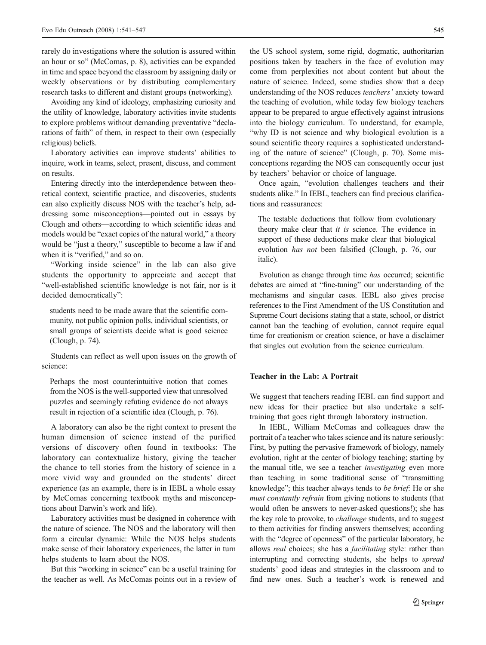rarely do investigations where the solution is assured within an hour or so" (McComas, p. 8), activities can be expanded in time and space beyond the classroom by assigning daily or weekly observations or by distributing complementary research tasks to different and distant groups (networking).

Avoiding any kind of ideology, emphasizing curiosity and the utility of knowledge, laboratory activities invite students to explore problems without demanding preventative "declarations of faith" of them, in respect to their own (especially religious) beliefs.

Laboratory activities can improve students' abilities to inquire, work in teams, select, present, discuss, and comment on results.

Entering directly into the interdependence between theoretical context, scientific practice, and discoveries, students can also explicitly discuss NOS with the teacher's help, addressing some misconceptions—pointed out in essays by Clough and others—according to which scientific ideas and models would be "exact copies of the natural world," a theory would be "just a theory," susceptible to become a law if and when it is "verified," and so on.

"Working inside science" in the lab can also give students the opportunity to appreciate and accept that "well-established scientific knowledge is not fair, nor is it decided democratically":

students need to be made aware that the scientific community, not public opinion polls, individual scientists, or small groups of scientists decide what is good science (Clough, p. 74).

Students can reflect as well upon issues on the growth of science:

Perhaps the most counterintuitive notion that comes from the NOS is the well-supported view that unresolved puzzles and seemingly refuting evidence do not always result in rejection of a scientific idea (Clough, p. 76).

A laboratory can also be the right context to present the human dimension of science instead of the purified versions of discovery often found in textbooks: The laboratory can contextualize history, giving the teacher the chance to tell stories from the history of science in a more vivid way and grounded on the students' direct experience (as an example, there is in IEBL a whole essay by McComas concerning textbook myths and misconceptions about Darwin's work and life).

Laboratory activities must be designed in coherence with the nature of science. The NOS and the laboratory will then form a circular dynamic: While the NOS helps students make sense of their laboratory experiences, the latter in turn helps students to learn about the NOS.

But this "working in science" can be a useful training for the teacher as well. As McComas points out in a review of

the US school system, some rigid, dogmatic, authoritarian positions taken by teachers in the face of evolution may come from perplexities not about content but about the nature of science. Indeed, some studies show that a deep understanding of the NOS reduces teachers*'* anxiety toward the teaching of evolution, while today few biology teachers appear to be prepared to argue effectively against intrusions into the biology curriculum. To understand, for example, "why ID is not science and why biological evolution is a sound scientific theory requires a sophisticated understanding of the nature of science" (Clough, p. 70). Some misconceptions regarding the NOS can consequently occur just by teachers' behavior or choice of language.

Once again, "evolution challenges teachers and their students alike." In IEBL, teachers can find precious clarifications and reassurances:

The testable deductions that follow from evolutionary theory make clear that it is science. The evidence in support of these deductions make clear that biological evolution has not been falsified (Clough, p. 76, our italic).

Evolution as change through time has occurred; scientific debates are aimed at "fine-tuning" our understanding of the mechanisms and singular cases. IEBL also gives precise references to the First Amendment of the US Constitution and Supreme Court decisions stating that a state, school, or district cannot ban the teaching of evolution, cannot require equal time for creationism or creation science, or have a disclaimer that singles out evolution from the science curriculum.

### Teacher in the Lab: A Portrait

We suggest that teachers reading IEBL can find support and new ideas for their practice but also undertake a selftraining that goes right through laboratory instruction.

In IEBL, William McComas and colleagues draw the portrait of a teacher who takes science and its nature seriously: First, by putting the pervasive framework of biology, namely evolution, right at the center of biology teaching; starting by the manual title, we see a teacher investigating even more than teaching in some traditional sense of "transmitting knowledge"; this teacher always tends to be brief: He or she must constantly refrain from giving notions to students (that would often be answers to never-asked questions!); she has the key role to provoke, to challenge students, and to suggest to them activities for finding answers themselves; according with the "degree of openness" of the particular laboratory, he allows real choices; she has a facilitating style: rather than interrupting and correcting students, she helps to spread students' good ideas and strategies in the classroom and to find new ones. Such a teacher's work is renewed and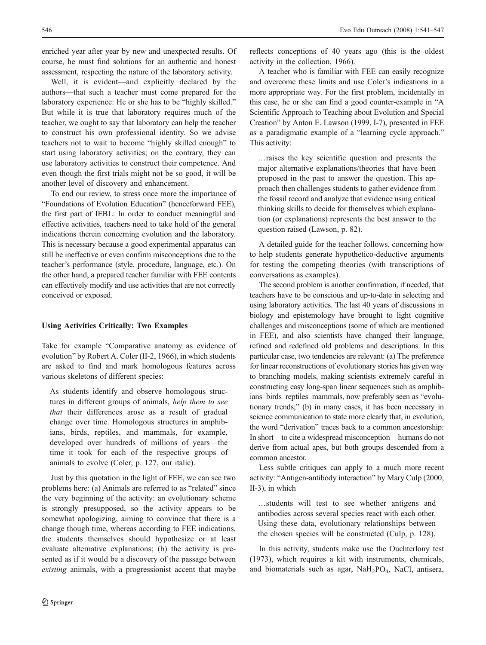enriched year after year by new and unexpected results. Of course, he must find solutions for an authentic and honest assessment, respecting the nature of the laboratory activity.

Well, it is evident—and explicitly declared by the authors—that such a teacher must come prepared for the laboratory experience: He or she has to be "highly skilled." But while it is true that laboratory requires much of the teacher, we ought to say that laboratory can help the teacher to construct his own professional identity. So we advise teachers not to wait to become "highly skilled enough" to start using laboratory activities; on the contrary, they can use laboratory activities to construct their competence. And even though the first trials might not be so good, it will be another level of discovery and enhancement.

To end our review, to stress once more the importance of "Foundations of Evolution Education" (henceforward FEE), the first part of IEBL: In order to conduct meaningful and effective activities, teachers need to take hold of the general indications therein concerning evolution and the laboratory. This is necessary because a good experimental apparatus can still be ineffective or even confirm misconceptions due to the teacher's performance (style, procedure, language, etc.). On the other hand, a prepared teacher familiar with FEE contents can effectively modify and use activities that are not correctly conceived or exposed.

## Using Activities Critically: Two Examples

Take for example "Comparative anatomy as evidence of evolution" by Robert A. Coler (II-2, 1966), in which students are asked to find and mark homologous features across various skeletons of different species:

As students identify and observe homologous structures in different groups of animals, help them to see that their differences arose as a result of gradual change over time. Homologous structures in amphibians, birds, reptiles, and mammals, for example, developed over hundreds of millions of years—the time it took for each of the respective groups of animals to evolve (Coler, p. 127, our italic).

Just by this quotation in the light of FEE, we can see two problems here: (a) Animals are referred to as "related" since the very beginning of the activity: an evolutionary scheme is strongly presupposed, so the activity appears to be somewhat apologizing, aiming to convince that there is a change though time, whereas according to FEE indications, the students themselves should hypothesize or at least evaluate alternative explanations; (b) the activity is presented as if it would be a discovery of the passage between existing animals, with a progressionist accent that maybe reflects conceptions of 40 years ago (this is the oldest activity in the collection, 1966).

A teacher who is familiar with FEE can easily recognize and overcome these limits and use Coler's indications in a more appropriate way. For the first problem, incidentally in this case, he or she can find a good counter-example in "A Scientific Approach to Teaching about Evolution and Special Creation" by Anton E. Lawson (1999, I-7), presented in FEE as a paradigmatic example of a "learning cycle approach." This activity:

…raises the key scientific question and presents the major alternative explanations/theories that have been proposed in the past to answer the question. This approach then challenges students to gather evidence from the fossil record and analyze that evidence using critical thinking skills to decide for themselves which explanation (or explanations) represents the best answer to the question raised (Lawson, p. 82).

A detailed guide for the teacher follows, concerning how to help students generate hypothetico-deductive arguments for testing the competing theories (with transcriptions of conversations as examples).

The second problem is another confirmation, if needed, that teachers have to be conscious and up-to-date in selecting and using laboratory activities. The last 40 years of discussions in biology and epistemology have brought to light cognitive challenges and misconceptions (some of which are mentioned in FEE), and also scientists have changed their language, refined and redefined old problems and descriptions. In this particular case, two tendencies are relevant: (a) The preference for linear reconstructions of evolutionary stories has given way to branching models, making scientists extremely careful in constructing easy long-span linear sequences such as amphibians–birds–reptiles–mammals, now preferably seen as "evolutionary trends;" (b) in many cases, it has been necessary in science communication to state more clearly that, in evolution, the word "derivation" traces back to a common ancestorship: In short—to cite a widespread misconception—humans do not derive from actual apes, but both groups descended from a common ancestor.

Less subtle critiques can apply to a much more recent activity: "Antigen-antibody interaction" by Mary Culp (2000, II-3), in which

…students will test to see whether antigens and antibodies across several species react with each other. Using these data, evolutionary relationships between the chosen species will be constructed (Culp, p. 128).

In this activity, students make use the Ouchterlony test (1973), which requires a kit with instruments, chemicals, and biomaterials such as agar,  $NaH<sub>2</sub>PO<sub>4</sub>$ , NaCl, antisera,